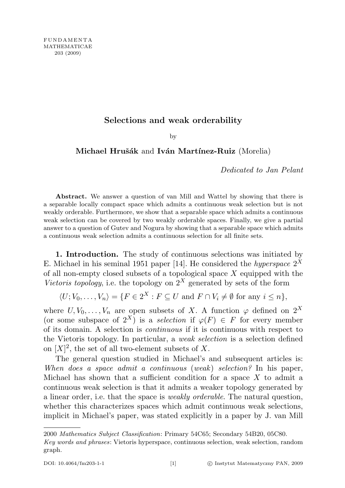## Selections and weak orderability

by

## Michael Hrušák and Iván Martínez-Ruiz (Morelia)

Dedicated to Jan Pelant

Abstract. We answer a question of van Mill and Wattel by showing that there is a separable locally compact space which admits a continuous weak selection but is not weakly orderable. Furthermore, we show that a separable space which admits a continuous weak selection can be covered by two weakly orderable spaces. Finally, we give a partial answer to a question of Gutev and Nogura by showing that a separable space which admits a continuous weak selection admits a continuous selection for all finite sets.

1. Introduction. The study of continuous selections was initiated by E. Michael in his seminal 1951 paper [14]. He considered the *hyperspace*  $2^X$ of all non-empty closed subsets of a topological space  $X$  equipped with the Vietoris topology, i.e. the topology on  $2^X$  generated by sets of the form

 $\langle U; V_0, \ldots, V_n \rangle = \{ F \in 2^X : F \subseteq U \text{ and } F \cap V_i \neq \emptyset \text{ for any } i \leq n \},\$ 

where  $U, V_0, \ldots, V_n$  are open subsets of X. A function  $\varphi$  defined on  $2^X$ (or some subspace of  $2^X$ ) is a selection if  $\varphi(F) \in F$  for every member of its domain. A selection is continuous if it is continuous with respect to the Vietoris topology. In particular, a weak selection is a selection defined on  $[X]^2$ , the set of all two-element subsets of X.

The general question studied in Michael's and subsequent articles is: When does a space admit a continuous (weak) selection? In his paper, Michael has shown that a sufficient condition for a space  $X$  to admit a continuous weak selection is that it admits a weaker topology generated by a linear order, i.e. that the space is weakly orderable. The natural question, whether this characterizes spaces which admit continuous weak selections, implicit in Michael's paper, was stated explicitly in a paper by J. van Mill

<sup>2000</sup> Mathematics Subject Classification: Primary 54C65; Secondary 54B20, 05C80.

Key words and phrases: Vietoris hyperspace, continuous selection, weak selection, random graph.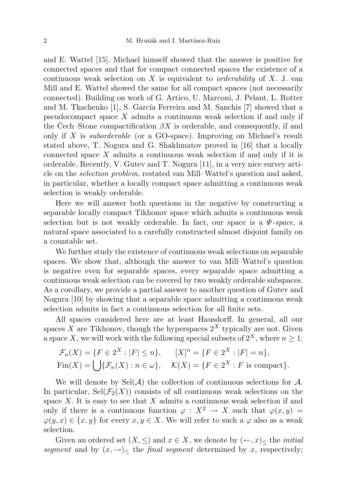and E. Wattel [15]. Michael himself showed that the answer is positive for connected spaces and that for compact connected spaces the existence of a continuous weak selection on X is equivalent to *orderability* of X. J. van Mill and E. Wattel showed the same for all compact spaces (not necessarily connected). Building on work of G. Artico, U. Marconi, J. Pelant, L. Rotter and M. Tkachenko  $[1]$ , S. García Ferreira and M. Sanchis  $[7]$  showed that a pseudocompact space  $X$  admits a continuous weak selection if and only if the Cech–Stone compactification  $\beta X$  is orderable, and consequently, if and only if X is *suborderable* (or a GO-space). Improving on Michael's result stated above, T. Nogura and G. Shakhmatov proved in [16] that a locally connected space X admits a continuous weak selection if and only if it is orderable. Recently, V. Gutev and T. Nogura [11], in a very nice survey article on the selection problem, restated van Mill–Wattel's question and asked, in particular, whether a locally compact space admitting a continuous weak selection is weakly orderable.

Here we will answer both questions in the negative by constructing a separable locally compact Tikhonov space which admits a continuous weak selection but is not weakly orderable. In fact, our space is a  $\Psi$ -space, a natural space associated to a carefully constructed almost disjoint family on a countable set.

We further study the existence of continuous weak selections on separable spaces. We show that, although the answer to van Mill–Wattel's question is negative even for separable spaces, every separable space admitting a continuous weak selection can be covered by two weakly orderable subspaces. As a corollary, we provide a partial answer to another question of Gutev and Nogura [10] by showing that a separable space admitting a continuous weak selection admits in fact a continuous selection for all finite sets.

All spaces considered here are at least Hausdorff. In general, all our spaces X are Tikhonov, though the hyperspaces  $2^X$  typically are not. Given a space X, we will work with the following special subsets of  $2^X$ , where  $n \geq 1$ :

$$
\mathcal{F}_n(X) = \{ F \in 2^X : |F| \le n \}, \qquad [X]^n = \{ F \in 2^X : |F| = n \},
$$
  
Fin(X) = \bigcup \{ \mathcal{F}\_n(X) : n \in \omega \}, \qquad \mathcal{K}(X) = \{ F \in 2^X : F \text{ is compact} \}.

We will denote by  $\text{Sel}(\mathcal{A})$  the collection of continuous selections for  $\mathcal{A}$ . In particular,  $\text{Sel}(\mathcal{F}_2(X))$  consists of all continuous weak selections on the space  $X$ . It is easy to see that  $X$  admits a continuous weak selection if and only if there is a continuous function  $\varphi : X^2 \to X$  such that  $\varphi(x, y) =$  $\varphi(y, x) \in \{x, y\}$  for every  $x, y \in X$ . We will refer to such a  $\varphi$  also as a weak selection.

Given an ordered set  $(X, \leq)$  and  $x \in X$ , we denote by  $(\leftarrow, x)$  the *initial* segment and by  $(x, \rightarrow)$ < the final segment determined by x, respectively;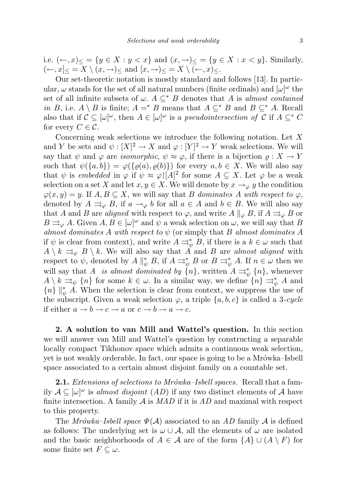i.e.  $(\leftarrow, x)_{\leq} = \{y \in X : y < x\}$  and  $(x, \rightarrow)_{\leq} = \{y \in X : x < y\}$ . Similarly,  $(-, x]_{\leq} = X \setminus (x, \rightarrow)_{\leq}$  and  $[x, \rightarrow)_{\leq} = X \setminus (-, x)_{\leq}$ .

Our set-theoretic notation is mostly standard and follows [13]. In particular,  $\omega$  stands for the set of all natural numbers (finite ordinals) and  $[\omega]^{\omega}$  the set of all infinite subsets of  $\omega$ .  $A \subseteq^* B$  denotes that A is almost contained in B, i.e.  $A \setminus B$  is finite;  $A = * B$  means that  $A \subseteq * B$  and  $B \subseteq * A$ . Recall also that if  $\mathcal{C} \subseteq [\omega]^\omega$ , then  $A \in [\omega]^\omega$  is a pseudointersection of C if  $A \subseteq^* C$ for every  $C \in \mathcal{C}$ .

Concerning weak selections we introduce the following notation. Let X and Y be sets and  $\psi : [X]^2 \to X$  and  $\varphi : [Y]^2 \to Y$  weak selections. We will say that  $\psi$  and  $\varphi$  are *isomorphic*,  $\psi \approx \varphi$ , if there is a bijection  $\rho : X \to Y$ such that  $\psi({a,b}) = \varphi({\varrho}(a), \varrho(b))$  for every  $a, b \in X$ . We will also say that  $\psi$  is embedded in  $\varphi$  if  $\psi \approx \varphi$  [A]<sup>2</sup> for some  $A \subseteq X$ . Let  $\varphi$  be a weak selection on a set X and let  $x, y \in X$ . We will denote by  $x \to_{\varphi} y$  the condition  $\varphi(x, y) = y$ . If  $A, B \subseteq X$ , we will say that B dominates A with respect to  $\varphi$ , denoted by  $A \rightrightarrows_{\varphi} B$ , if  $a \to_{\varphi} b$  for all  $a \in A$  and  $b \in B$ . We will also say that A and B are aligned with respect to  $\varphi$ , and write  $A \parallel_{\varphi} B$ , if  $A \rightrightarrows_{\varphi} B$  or  $B \rightrightarrows_{\varphi} A$ . Given  $A, B \in [\omega]^{\omega}$  and  $\psi$  a weak selection on  $\omega$ , we will say that B almost dominates A with respect to  $\psi$  (or simply that B almost dominates A if  $\psi$  is clear from context), and write  $A \rightrightarrows_{\psi}^* B$ , if there is a  $k \in \omega$  such that  $A \setminus k \rightrightarrows_{\psi} B \setminus k$ . We will also say that A and B are almost aligned with respect to  $\psi$ , denoted by  $A \parallel_{\psi}^* B$ , if  $A \rightrightarrows_{\psi}^* B$  or  $B \rightrightarrows_{\psi}^* A$ . If  $n \in \omega$  then we will say that A is almost dominated by  $\{n\}$ , written  $A \rightrightarrows^*_{\psi} \{n\}$ , whenever  $A \setminus k \rightrightarrows_{\psi} \{n\}$  for some  $k \in \omega$ . In a similar way, we define  $\{n\} \rightrightarrows_{\psi}^* A$  and  ${n}$   $\|_{\psi}^{*}$  A. When the selection is clear from context, we suppress the use of the subscript. Given a weak selection  $\varphi$ , a triple  $\{a, b, c\}$  is called a 3-cycle if either  $a \to b \to c \to a$  or  $c \to b \to a \to c$ .

2. A solution to van Mill and Wattel's question. In this section we will answer van Mill and Wattel's question by constructing a separable locally compact Tikhonov space which admits a continuous weak selection, yet is not weakly orderable. In fact, our space is going to be a Mrówka–Isbell space associated to a certain almost disjoint family on a countable set.

**2.1.** Extensions of selections to Mrówka–Isbell spaces. Recall that a family  $A \subseteq [\omega]^\omega$  is almost disjoint  $(AD)$  if any two distinct elements of A have finite intersection. A family  $A$  is  $MAD$  if it is  $AD$  and maximal with respect to this property.

The Mrówka–Isbell space  $\Psi(\mathcal{A})$  associated to an AD family  $\mathcal A$  is defined as follows: The underlying set is  $\omega \cup A$ , all the elements of  $\omega$  are isolated and the basic neighborhoods of  $A \in \mathcal{A}$  are of the form  $\{A\} \cup (A \setminus F)$  for some finite set  $F \subseteq \omega$ .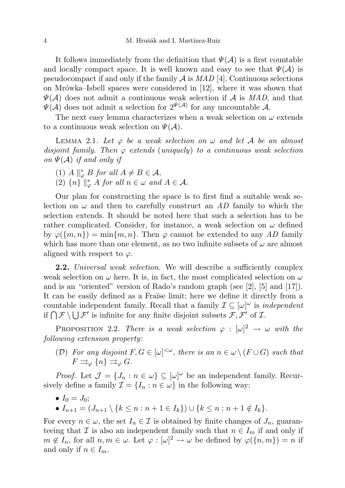It follows immediately from the definition that  $\Psi(\mathcal{A})$  is a first countable and locally compact space. It is well known and easy to see that  $\Psi(\mathcal{A})$  is pseudocompact if and only if the family  $\mathcal A$  is  $MAD$  [4]. Continuous selections on Mrówka–Isbell spaces were considered in  $[12]$ , where it was shown that  $\Psi(\mathcal{A})$  does not admit a continuous weak selection if  $\mathcal{A}$  is MAD, and that  $\Psi(\mathcal{A})$  does not admit a selection for  $2^{\Psi(\mathcal{A})}$  for any uncountable  $\mathcal{A}$ .

The next easy lemma characterizes when a weak selection on  $\omega$  extends to a continuous weak selection on  $\Psi(\mathcal{A})$ .

LEMMA 2.1. Let  $\varphi$  be a weak selection on  $\omega$  and let A be an almost disjoint family. Then  $\varphi$  extends (uniquely) to a continuous weak selection on  $\Psi(\mathcal{A})$  if and only if

- (1)  $A \parallel_{\varphi}^* B$  for all  $A \neq B \in \mathcal{A}$ ,
- (2)  ${n} \parallel_{\varphi}^* A$  for all  $n \in \omega$  and  $A \in \mathcal{A}$ .

Our plan for constructing the space is to first find a suitable weak selection on  $\omega$  and then to carefully construct an AD family to which the selection extends. It should be noted here that such a selection has to be rather complicated. Consider, for instance, a weak selection on  $\omega$  defined by  $\varphi({m, n}) = \min\{m, n\}$ . Then  $\varphi$  cannot be extended to any AD family which has more than one element, as no two infinite subsets of  $\omega$  are almost aligned with respect to  $\varphi$ .

**2.2.** Universal weak selection. We will describe a sufficiently complex weak selection on  $\omega$  here. It is, in fact, the most complicated selection on  $\omega$ and is an "oriented" version of Rado's random graph (see [2], [5] and [17]). It can be easily defined as a Fraïse limit; here we define it directly from a countable independent family. Recall that a family  $\mathcal{I} \subseteq [\omega]^\omega$  is *independent* if  $\bigcap \mathcal{F} \setminus \bigcup \mathcal{F}'$  is infinite for any finite disjoint subsets  $\mathcal{F}, \mathcal{F}'$  of  $\mathcal{I}$ .

PROPOSITION 2.2. There is a weak selection  $\varphi : [\omega]^2 \to \omega$  with the following extension property:

(D) For any disjoint  $F, G \in [\omega]^{<\omega}$ , there is an  $n \in \omega \setminus (F \cup G)$  such that  $F \rightrightarrows_{\varphi} \{n\} \rightrightarrows_{\varphi} G.$ 

*Proof.* Let  $\mathcal{J} = \{J_n : n \in \omega\} \subseteq [\omega]^\omega$  be an independent family. Recursively define a family  $\mathcal{I} = \{I_n : n \in \omega\}$  in the following way:

- $I_0 = J_0;$
- $I_{n+1} = (J_{n+1} \setminus \{k \leq n : n+1 \in I_k\}) \cup \{k \leq n : n+1 \notin I_k\}.$

For every  $n \in \omega$ , the set  $I_n \in \mathcal{I}$  is obtained by finite changes of  $J_n$ , guaranteeing that  $\mathcal I$  is also an independent family such that  $n \in I_m$  if and only if  $m \notin I_n$ , for all  $n, m \in \omega$ . Let  $\varphi : [\omega]^2 \to \omega$  be defined by  $\varphi(\lbrace n,m \rbrace) = n$  if and only if  $n \in I_m$ .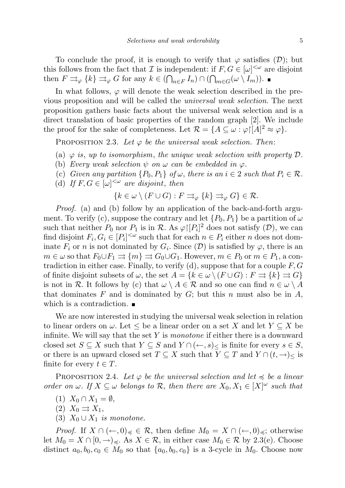To conclude the proof, it is enough to verify that  $\varphi$  satisfies  $(\mathcal{D})$ ; but this follows from the fact that  $\mathcal I$  is independent: if  $F, G \in [\omega]^{<\omega}$  are disjoint then  $F \rightrightarrows_{\varphi} \{k\} \rightrightarrows_{\varphi} G$  for any  $k \in (\bigcap_{n \in F} I_n) \cap (\bigcap_{m \in G} (\omega \setminus I_m)).$ 

In what follows,  $\varphi$  will denote the weak selection described in the previous proposition and will be called the universal weak selection. The next proposition gathers basic facts about the universal weak selection and is a direct translation of basic properties of the random graph [2]. We include the proof for the sake of completeness. Let  $\mathcal{R} = \{A \subseteq \omega : \varphi | [A]^2 \approx \varphi\}.$ 

PROPOSITION 2.3. Let  $\varphi$  be the universal weak selection. Then:

- (a)  $\varphi$  is, up to isomorphism, the unique weak selection with property  $\mathcal D$ .
- (b) Every weak selection  $\psi$  on  $\omega$  can be embedded in  $\varphi$ .
- (c) Given any partition  $\{P_0, P_1\}$  of  $\omega$ , there is an  $i \in 2$  such that  $P_i \in \mathcal{R}$ .
- (d) If  $F, G \in [\omega]^{<\omega}$  are disjoint, then

$$
\{k \in \omega \setminus (F \cup G) : F \rightrightarrows_{\varphi} \{k\} \rightrightarrows_{\varphi} G\} \in \mathcal{R}.
$$

Proof. (a) and (b) follow by an application of the back-and-forth argument. To verify (c), suppose the contrary and let  $\{P_0, P_1\}$  be a partition of  $\omega$ such that neither  $P_0$  nor  $P_1$  is in  $\mathcal R$ . As  $\varphi | [P_i]^2$  does not satisfy  $(\mathcal D)$ , we can find disjoint  $F_i, G_i \in [P_i]^{<\omega}$  such that for each  $n \in P_i$  either n does not dominate  $F_i$  or n is not dominated by  $G_i$ . Since  $(\mathcal{D})$  is satisfied by  $\varphi$ , there is an  $m \in \omega$  so that  $F_0 \cup F_1 \rightrightarrows \{m\} \rightrightarrows G_0 \cup G_1$ . However,  $m \in P_0$  or  $m \in P_1$ , a contradiction in either case. Finally, to verify (d), suppose that for a couple  $F, G$ of finite disjoint subsets of  $\omega$ , the set  $A = \{k \in \omega \setminus (F \cup G) : F \rightrightarrows \{k\} \rightrightarrows G\}$ is not in R. It follows by (c) that  $\omega \setminus A \in \mathcal{R}$  and so one can find  $n \in \omega \setminus A$ that dominates F and is dominated by  $G$ ; but this n must also be in  $A$ , which is a contradiction.

We are now interested in studying the universal weak selection in relation to linear orders on  $\omega$ . Let  $\leq$  be a linear order on a set X and let  $Y \subseteq X$  be infinite. We will say that the set  $Y$  is monotone if either there is a downward closed set  $S \subseteq X$  such that  $Y \subseteq S$  and  $Y \cap (\leftarrow, s)_{\leq}$  is finite for every  $s \in S$ , or there is an upward closed set  $T \subseteq X$  such that  $Y \subseteq T$  and  $Y \cap (t, \to)_{\leq}$  is finite for every  $t \in T$ .

PROPOSITION 2.4. Let  $\varphi$  be the universal selection and let  $\preccurlyeq$  be a linear order on  $\omega$ . If  $X \subseteq \omega$  belongs to R, then there are  $X_0, X_1 \in [X]^\omega$  such that

- (1)  $X_0 \cap X_1 = \emptyset$ ,
- $(2)$   $X_0 \rightrightarrows X_1$ ,
- (3)  $X_0 \cup X_1$  is monotone.

*Proof.* If  $X \cap (\leftarrow, 0)_{\preccurlyeq} \in \mathcal{R}$ , then define  $M_0 = X \cap (\leftarrow, 0)_{\preccurlyeq}$ ; otherwise let  $M_0 = X \cap [0, \to)_{\preccurlyeq}$ . As  $X \in \mathcal{R}$ , in either case  $M_0 \in \mathcal{R}$  by 2.3(e). Choose distinct  $a_0, b_0, c_0 \in M_0$  so that  $\{a_0, b_0, c_0\}$  is a 3-cycle in  $M_0$ . Choose now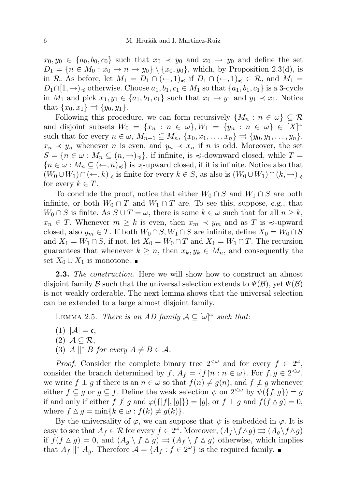$x_0, y_0 \in \{a_0, b_0, c_0\}$  such that  $x_0 \prec y_0$  and  $x_0 \rightarrow y_0$  and define the set  $D_1 = \{n \in M_0 : x_0 \to n \to y_0\} \setminus \{x_0, y_0\}$ , which, by Proposition 2.3(d), is in R. As before, let  $M_1 = D_1 \cap (\leftarrow, 1)_{\preccurlyeq}$  if  $D_1 \cap (\leftarrow, 1)_{\preccurlyeq} \in \mathcal{R}$ , and  $M_1 =$  $D_1 \cap [1, \rightarrow)_{\preccurlyeq}$  otherwise. Choose  $a_1, b_1, c_1 \in M_1$  so that  $\{a_1, b_1, c_1\}$  is a 3-cycle in  $M_1$  and pick  $x_1, y_1 \in \{a_1, b_1, c_1\}$  such that  $x_1 \to y_1$  and  $y_1 \prec x_1$ . Notice that  $\{x_0, x_1\} \rightrightarrows \{y_0, y_1\}.$ 

Following this procedure, we can form recursively  $\{M_n : n \in \omega\} \subseteq \mathcal{R}$ and disjoint subsets  $W_0 = \{x_n : n \in \omega\}, W_1 = \{y_n : n \in \omega\} \in [X]^\omega$ such that for every  $n \in \omega$ ,  $M_{n+1} \subseteq M_n$ ,  $\{x_0, x_1, \ldots, x_n\} \Rightarrow \{y_0, y_1, \ldots, y_n\}$ ,  $x_n \prec y_n$  whenever *n* is even, and  $y_n \prec x_n$  if *n* is odd. Moreover, the set  $S = \{n \in \omega : M_n \subseteq (n, \rightarrow)_{\preccurlyeq}\},\$ if infinite, is  $\preccurlyeq$ -downward closed, while  $T =$  ${n \in \omega : M_n \subseteq (\leftarrow, n)_{\preccurlyeq}}$  is  $\preccurlyeq$ -upward closed, if it is infinite. Notice also that  $(W_0 \cup W_1) \cap (\leftarrow, k)_{\preccurlyeq}$  is finite for every  $k \in S$ , as also is  $(W_0 \cup W_1) \cap (k, \rightarrow)_{\preccurlyeq}$ for every  $k \in T$ .

To conclude the proof, notice that either  $W_0 \cap S$  and  $W_1 \cap S$  are both infinite, or both  $W_0 \cap T$  and  $W_1 \cap T$  are. To see this, suppose, e.g., that  $W_0 \cap S$  is finite. As  $S \cup T = \omega$ , there is some  $k \in \omega$  such that for all  $n \geq k$ ,  $x_n \in T$ . Whenever  $m \geq k$  is even, then  $x_m \prec y_m$  and as T is  $\preccurlyeq$ -upward closed, also  $y_m \in T$ . If both  $W_0 \cap S$ ,  $W_1 \cap S$  are infinite, define  $X_0 = W_0 \cap S$ and  $X_1 = W_1 \cap S$ , if not, let  $X_0 = W_0 \cap T$  and  $X_1 = W_1 \cap T$ . The recursion guarantees that whenever  $k \geq n$ , then  $x_k, y_k \in M_n$ , and consequently the set  $X_0 \cup X_1$  is monotone. ■

**2.3.** The construction. Here we will show how to construct an almost disjoint family B such that the universal selection extends to  $\Psi(\mathcal{B})$ , yet  $\Psi(\mathcal{B})$ is not weakly orderable. The next lemma shows that the universal selection can be extended to a large almost disjoint family.

LEMMA 2.5. There is an AD family  $A \subseteq [\omega]^\omega$  such that:

- $(1)$   $|\mathcal{A}| = \mathfrak{c},$
- $(2)$   $\mathcal{A} \subseteq \mathcal{R}$ ,
- (3) A  $\parallel^* B$  for every  $A \neq B \in \mathcal{A}$ .

*Proof.* Consider the complete binary tree  $2^{\lt \omega}$  and for every  $f \in 2^{\omega}$ , consider the branch determined by  $f, A_f = \{f \mid n : n \in \omega\}$ . For  $f, g \in 2^{<\omega}$ , we write  $f \perp g$  if there is an  $n \in \omega$  so that  $f(n) \neq g(n)$ , and  $f \npreceq g$  whenever either  $f \subseteq g$  or  $g \subseteq f$ . Define the weak selection  $\psi$  on  $2^{<\omega}$  by  $\psi({f, g}) = g$ if and only if either  $f \not\perp g$  and  $\varphi({\{|f|, |g|\}}) = |g|$ , or  $f \perp g$  and  $f(f \Delta g) = 0$ , where  $f \Delta g = \min\{k \in \omega : f(k) \neq g(k)\}.$ 

By the universality of  $\varphi$ , we can suppose that  $\psi$  is embedded in  $\varphi$ . It is easy to see that  $A_f \in \mathcal{R}$  for every  $f \in 2^\omega$ . Moreover,  $(A_f \setminus f \triangle g) \rightrightarrows (A_g \setminus f \triangle g)$ if  $f(f \triangle g) = 0$ , and  $(A_q \setminus f \triangle g) \rightrightarrows (A_f \setminus f \triangle g)$  otherwise, which implies that  $A_f \parallel^* A_g$ . Therefore  $\mathcal{A} = \{A_f : f \in 2^{\omega}\}\$ is the required family.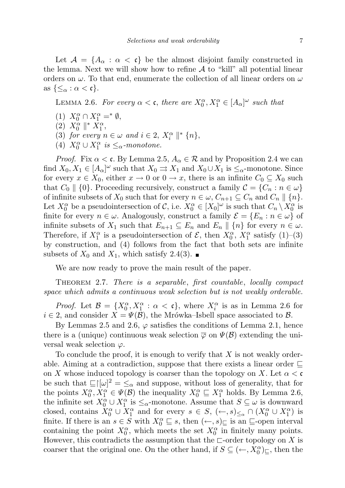Let  $A = \{A_\alpha : \alpha < \mathfrak{c}\}\$ be the almost disjoint family constructed in the lemma. Next we will show how to refine  $A$  to "kill" all potential linear orders on  $\omega$ . To that end, enumerate the collection of all linear orders on  $\omega$ as  $\{\leq_\alpha : \alpha < \mathfrak{c}\}.$ 

LEMMA 2.6. For every  $\alpha < \mathfrak{c}$ , there are  $X_0^{\alpha}, X_1^{\alpha} \in [A_{\alpha}]^{\omega}$  such that

- (1)  $X_0^{\alpha} \cap X_1^{\alpha} =^* \emptyset$ ,
- (2)  $X_0^{\alpha} \parallel^* X_1^{\alpha}$ ,
- (3) for every  $n \in \omega$  and  $i \in 2$ ,  $X_i^{\alpha} \parallel^* \{n\}$ ,
- (4)  $X_0^{\alpha} \cup X_1^{\alpha}$  is  $\leq_{\alpha}$ -monotone.

*Proof.* Fix  $\alpha < \mathfrak{c}$ . By Lemma 2.5,  $A_{\alpha} \in \mathcal{R}$  and by Proposition 2.4 we can find  $X_0, X_1 \in [A_\alpha]^\omega$  such that  $X_0 \rightrightarrows X_1$  and  $X_0 \cup X_1$  is  $\leq_\alpha$ -monotone. Since for every  $x \in X_0$ , either  $x \to 0$  or  $0 \to x$ , there is an infinite  $C_0 \subseteq X_0$  such that  $C_0 \parallel \{0\}$ . Proceeding recursively, construct a family  $\mathcal{C} = \{C_n : n \in \omega\}$ of infinite subsets of  $X_0$  such that for every  $n \in \omega$ ,  $C_{n+1} \subseteq C_n$  and  $C_n \parallel \{n\}$ . Let  $X_0^{\alpha}$  be a pseudointersection of C, i.e.  $X_0^{\alpha} \in [X_0]^{\omega}$  is such that  $C_n \setminus X_0^{\alpha}$  is finite for every  $n \in \omega$ . Analogously, construct a family  $\mathcal{E} = \{E_n : n \in \omega\}$  of infinite subsets of  $X_1$  such that  $E_{n+1} \subseteq E_n$  and  $E_n \parallel \{n\}$  for every  $n \in \omega$ . Therefore, if  $X_1^{\alpha}$  is a pseudointersection of  $\mathcal{E}$ , then  $X_0^{\alpha}$ ,  $X_1^{\alpha}$  satisfy (1)–(3) by construction, and (4) follows from the fact that both sets are infinite subsets of  $X_0$  and  $X_1$ , which satisfy 2.4(3).

We are now ready to prove the main result of the paper.

Theorem 2.7. There is a separable, first countable, locally compact space which admits a continuous weak selection but is not weakly orderable.

*Proof.* Let  $\mathcal{B} = \{X_0^{\alpha}, X_1^{\alpha} : \alpha < \mathfrak{c}\}\,$ , where  $X_i^{\alpha}$  is as in Lemma 2.6 for  $i \in 2$ , and consider  $X = \Psi(\mathcal{B})$ , the Mrówka–Isbell space associated to  $\mathcal{B}$ .

By Lemmas 2.5 and 2.6,  $\varphi$  satisfies the conditions of Lemma 2.1, hence there is a (unique) continuous weak selection  $\overline{\varphi}$  on  $\Psi(\mathcal{B})$  extending the universal weak selection  $\varphi$ .

To conclude the proof, it is enough to verify that  $X$  is not weakly orderable. Aiming at a contradiction, suppose that there exists a linear order  $\sqsubseteq$ on X whose induced topology is coarser than the topology on X. Let  $\alpha < \mathfrak{c}$ be such that  $\mathbb{E}[\omega]^2 = \mathbb{E}_\alpha$  and suppose, without loss of generality, that for the points  $X_0^{\alpha}, X_1^{\alpha} \in \Psi(\mathcal{B})$  the inequality  $X_0^{\alpha} \subseteq X_1^{\alpha}$  holds. By Lemma 2.6, the infinite set  $X_0^{\alpha} \cup X_1^{\alpha}$  is  $\leq_{\alpha}$ -monotone. Assume that  $S \subseteq \omega$  is downward closed, contains  $X_0^{\alpha} \cup X_1^{\alpha}$  and for every  $s \in S$ ,  $(\leftarrow, s)_{\leq \alpha} \cap (X_0^{\alpha} \cup X_1^{\alpha})$  is finite. If there is an  $s \in S$  with  $X_0^{\alpha} \sqsubseteq s$ , then  $(\leftarrow, s)_{\sqsubseteq}$  is an  $\sqsubseteq$ -open interval containing the point  $X_0^{\alpha}$ , which meets the set  $X_0^{\alpha}$  in finitely many points. However, this contradicts the assumption that the  $\sqsubset$ -order topology on X is coarser that the original one. On the other hand, if  $S \subseteq (\leftarrow, X_0^{\alpha})_{\sqsubseteq}$ , then the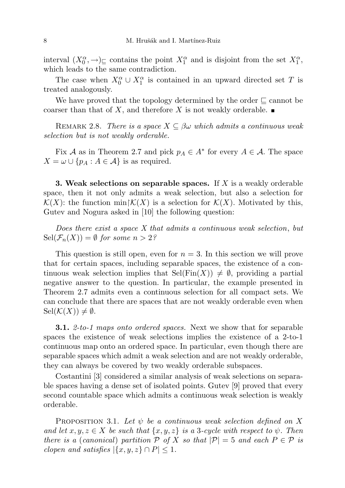interval  $(X_0^{\alpha}, \rightarrow)_{\sqsubseteq}$  contains the point  $X_1^{\alpha}$  and is disjoint from the set  $X_1^{\alpha}$ , which leads to the same contradiction.

The case when  $X_0^{\alpha} \cup X_1^{\alpha}$  is contained in an upward directed set T is treated analogously.

We have proved that the topology determined by the order  $\subseteq$  cannot be coarser than that of X, and therefore X is not weakly orderable.

REMARK 2.8. There is a space  $X \subseteq \beta\omega$  which admits a continuous weak selection but is not weakly orderable.

Fix A as in Theorem 2.7 and pick  $p_A \in A^*$  for every  $A \in \mathcal{A}$ . The space  $X = \omega \cup \{p_A : A \in \mathcal{A}\}\$ is as required.

**3. Weak selections on separable spaces.** If  $X$  is a weakly orderable space, then it not only admits a weak selection, but also a selection for  $\mathcal{K}(X)$ : the function min $\mathcal{K}(X)$  is a selection for  $\mathcal{K}(X)$ . Motivated by this, Gutev and Nogura asked in [10] the following question:

Does there exist a space X that admits a continuous weak selection, but  $\operatorname{Sel}(\mathcal{F}_n(X)) = \emptyset$  for some  $n > 2$ ?

This question is still open, even for  $n = 3$ . In this section we will prove that for certain spaces, including separable spaces, the existence of a continuous weak selection implies that  $\text{Sel}(\text{Fin}(X)) \neq \emptyset$ , providing a partial negative answer to the question. In particular, the example presented in Theorem 2.7 admits even a continuous selection for all compact sets. We can conclude that there are spaces that are not weakly orderable even when  $\text{Sel}(\mathcal{K}(X)) \neq \emptyset$ .

**3.1.** 2-to-1 maps onto ordered spaces. Next we show that for separable spaces the existence of weak selections implies the existence of a 2-to-1 continuous map onto an ordered space. In particular, even though there are separable spaces which admit a weak selection and are not weakly orderable, they can always be covered by two weakly orderable subspaces.

Costantini [3] considered a similar analysis of weak selections on separable spaces having a dense set of isolated points. Gutev [9] proved that every second countable space which admits a continuous weak selection is weakly orderable.

PROPOSITION 3.1. Let  $\psi$  be a continuous weak selection defined on X and let  $x, y, z \in X$  be such that  $\{x, y, z\}$  is a 3-cycle with respect to  $\psi$ . Then there is a (canonical) partition P of X so that  $|\mathcal{P}| = 5$  and each  $P \in \mathcal{P}$  is clopen and satisfies  $|\{x, y, z\} \cap P| \leq 1$ .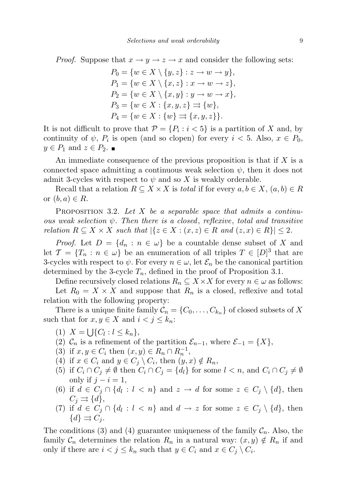*Proof.* Suppose that  $x \to y \to z \to x$  and consider the following sets:

$$
P_0 = \{ w \in X \setminus \{y, z\} : z \to w \to y \},
$$
  
\n
$$
P_1 = \{ w \in X \setminus \{x, z\} : x \to w \to z \},
$$
  
\n
$$
P_2 = \{ w \in X \setminus \{x, y\} : y \to w \to x \},
$$
  
\n
$$
P_3 = \{ w \in X : \{x, y, z\} \Rightarrow \{w\},
$$
  
\n
$$
P_4 = \{ w \in X : \{w\} \Rightarrow \{x, y, z\} \}.
$$

It is not difficult to prove that  $\mathcal{P} = \{P_i : i < 5\}$  is a partition of X and, by continuity of  $\psi$ ,  $P_i$  is open (and so clopen) for every  $i < 5$ . Also,  $x \in P_0$ ,  $y \in P_1$  and  $z \in P_2$ .

An immediate consequence of the previous proposition is that if  $X$  is a connected space admitting a continuous weak selection  $\psi$ , then it does not admit 3-cycles with respect to  $\psi$  and so X is weakly orderable.

Recall that a relation  $R \subseteq X \times X$  is total if for every  $a, b \in X$ ,  $(a, b) \in R$ or  $(b, a) \in R$ .

**PROPOSITION** 3.2. Let X be a separable space that admits a continuous weak selection  $\psi$ . Then there is a closed, reflexive, total and transitive relation  $R \subseteq X \times X$  such that  $|\{z \in X : (x, z) \in R \text{ and } (z, x) \in R\}| \leq 2$ .

*Proof.* Let  $D = \{d_n : n \in \omega\}$  be a countable dense subset of X and let  $\mathcal{T} = \{T_n : n \in \omega\}$  be an enumeration of all triples  $T \in [D]^3$  that are 3-cycles with respect to  $\psi$ . For every  $n \in \omega$ , let  $\mathcal{E}_n$  be the canonical partition determined by the 3-cycle  $T_n$ , defined in the proof of Proposition 3.1.

Define recursively closed relations  $R_n \subseteq X \times X$  for every  $n \in \omega$  as follows:

Let  $R_0 = X \times X$  and suppose that  $R_n$  is a closed, reflexive and total relation with the following property:

There is a unique finite family  $\mathcal{C}_n = \{C_0, \ldots, C_{k_n}\}\$  of closed subsets of X such that for  $x, y \in X$  and  $i < j \leq k_n$ :

- (1)  $X = \bigcup \{C_l : l \le k_n\},\$
- (2)  $\mathcal{C}_n$  is a refinement of the partition  $\mathcal{E}_{n-1}$ , where  $\mathcal{E}_{-1} = \{X\},\$
- (3) if  $x, y \in C_i$  then  $(x, y) \in R_n \cap R_n^{-1}$ ,
- (4) if  $x \in C_i$  and  $y \in C_j \setminus C_i$ , then  $(y, x) \notin R_n$ ,
- (5) if  $C_i \cap C_j \neq \emptyset$  then  $C_i \cap C_j = \{d_l\}$  for some  $l < n$ , and  $C_i \cap C_j \neq \emptyset$ only if  $j - i = 1$ ,
- (6) if  $d \in C_j \cap \{d_l : l < n\}$  and  $z \to d$  for some  $z \in C_j \setminus \{d\}$ , then  $C_i \rightrightarrows \{d\},\$
- (7) if  $d \in C_j \cap \{d_l : l < n\}$  and  $d \to z$  for some  $z \in C_j \setminus \{d\}$ , then  $\{d\} \rightrightarrows C_i$ .

The conditions (3) and (4) guarantee uniqueness of the family  $C_n$ . Also, the family  $\mathcal{C}_n$  determines the relation  $R_n$  in a natural way:  $(x, y) \notin R_n$  if and only if there are  $i < j \leq k_n$  such that  $y \in C_i$  and  $x \in C_j \setminus C_i$ .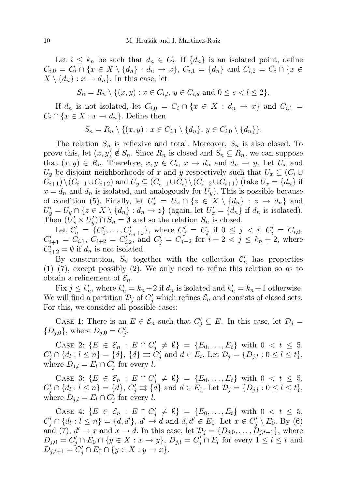Let  $i \leq k_n$  be such that  $d_n \in C_i$ . If  $\{d_n\}$  is an isolated point, define  $C_{i,0} = C_i \cap \{x \in X \setminus \{d_n\} : d_n \to x\},\ C_{i,1} = \{d_n\}$  and  $C_{i,2} = C_i \cap \{x \in X\}$  $X \setminus \{d_n\} : x \to d_n$ . In this case, let

$$
S_n = R_n \setminus \{(x, y) : x \in C_{i,l}, y \in C_{i,s} \text{ and } 0 \le s < l \le 2\}.
$$

If  $d_n$  is not isolated, let  $C_{i,0} = C_i \cap \{x \in X : d_n \to x\}$  and  $C_{i,1} =$  $C_i \cap \{x \in X : x \to d_n\}.$  Define then

$$
S_n = R_n \setminus \{(x, y) : x \in C_{i,1} \setminus \{d_n\}, y \in C_{i,0} \setminus \{d_n\}\}.
$$

The relation  $S_n$  is reflexive and total. Moreover,  $S_n$  is also closed. To prove this, let  $(x, y) \notin S_n$ . Since  $R_n$  is closed and  $S_n \subseteq R_n$ , we can suppose that  $(x, y) \in R_n$ . Therefore,  $x, y \in C_i$ ,  $x \to d_n$  and  $d_n \to y$ . Let  $U_x$  and  $U_y$  be disjoint neighborhoods of x and y respectively such that  $U_x \subseteq (C_i \cup$  $C_{i+1}\setminus (C_{i-1}\cup C_{i+2})$  and  $U_y\subseteq (C_{i-1}\cup C_i)\setminus (C_{i-2}\cup C_{i+1})$  (take  $U_x=\{d_n\}$  if  $x = d_n$  and  $d_n$  is isolated, and analogously for  $U_y$ ). This is possible because of condition (5). Finally, let  $U'_x = U_x \cap \{z \in X \setminus \{d_n\} : z \to d_n\}$  and  $U'_y = U_y \cap \{z \in X \setminus \{d_n\} : d_n \to z\}$  (again, let  $U'_x = \{d_n\}$  if  $d_n$  is isolated). Then  $(U'_x \times U'_y) \cap S_n = \emptyset$  and so the relation  $S_n$  is closed.

Let  $C'_n = \{C'_0, \ldots, C'_{k_n+2}\}\$ , where  $C'_j = C_j$  if  $0 \leq j \leq i$ ,  $C'_i = C_{i,0}$ ,  $C'_{i+1} = C_{i,1}, C_{i+2} = C'_{i,2},$  and  $C'_{j} = C'_{j-2}$  for  $i+2 < j \leq k_n+2$ , where  $C'_{i+2} = \emptyset$  if  $d_n$  is not isolated.

By construction,  $S_n$  together with the collection  $\mathcal{C}'_n$  has properties  $(1)$ – $(7)$ , except possibly  $(2)$ . We only need to refine this relation so as to obtain a refinement of  $\mathcal{E}_n$ .

Fix  $j \leq k'_n$ , where  $k'_n = k_n + 2$  if  $d_n$  is isolated and  $k'_n = k_n + 1$  otherwise. We will find a partition  $\mathcal{D}_j$  of  $C'_j$  which refines  $\mathcal{E}_n$  and consists of closed sets. For this, we consider all possible cases:

CASE 1: There is an  $E \in \mathcal{E}_n$  such that  $C'_j \subseteq E$ . In this case, let  $\mathcal{D}_j =$  $\{D_{j,0}\}\,$ , where  $D_{j,0}=C'_j$ .

CASE 2:  $\{E \in \mathcal{E}_n : E \cap C'_j \neq \emptyset\} = \{E_0, \ldots, E_t\}$  with  $0 < t \leq 5$ ,  $C'_{j} \cap \{d_l : l \leq n\} = \{d\},\ \{d\} \rightrightarrows C'_{j} \text{ and } d \in E_t. \text{ Let } \mathcal{D}_j = \{D_{j,l} : 0 \leq l \leq t\},\$ where  $D_{j,l} = E_l \cap C'_j$  for every l.

CASE 3:  $\{E \in \mathcal{E}_n : E \cap C'_j \neq \emptyset\} = \{E_0, \ldots, E_t\}$  with  $0 < t \leq 5$ ,  $C'_{j} \cap \{d_{l} : l \leq n\} = \{d\},\ C'_{j} \rightrightarrows \{d\} \text{ and } d \in E_{0}. \text{ Let } \mathcal{D}_{j} = \{D_{j,l} : 0 \leq l \leq t\},$ where  $D_{j,l} = E_l \cap C_j'$  for every l.

CASE 4: { $E \in \mathcal{E}_n : E \cap C'_j \neq \emptyset$ } = { $E_0, \ldots, E_t$ } with  $0 < t \leq 5$ ,  $C'_j \cap \{d_l : l \leq n\} = \{d, d'\}, d' \rightarrow d \text{ and } d, d' \in E_0.$  Let  $x \in C'_j \setminus E_0$ . By (6) and (7),  $d' \rightarrow x$  and  $x \rightarrow d$ . In this case, let  $\mathcal{D}_j = \{D_{j,0}, \ldots, D_{j,t+1}\}$ , where  $D_{j,0}=C'_j\cap E_0\cap \{y\in X:x\rightarrow y\},\ D_{j,l}=C'_j\cap E_l$  for every  $1\leq l\leq t$  and  $D_{j,t+1} = C'_j \cap E_0 \cap \{y \in X : y \to x\}.$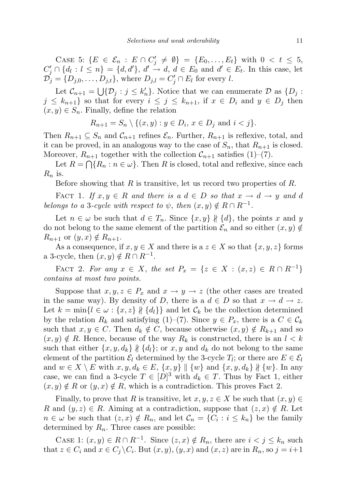CASE 5:  $\{E \in \mathcal{E}_n : E \cap C'_j \neq \emptyset\} = \{E_0, \ldots, E_t\}$  with  $0 < t \leq 5$ ,  $C'_j \cap \{d_l : l \leq n\} = \{d, d'\}, d' \rightarrow d, d \in E_0 \text{ and } d' \in E_t.$  In this case, let  $\mathcal{D}_j = \{D_{j,0}, \ldots, D_{j,t}\},\$  where  $D_{j,l} = C'_j \cap E_l$  for every l.

Let  $\mathcal{C}_{n+1} = \bigcup \{ \mathcal{D}_j : j \leq k'_n \}.$  Notice that we can enumerate  $\mathcal{D}$  as  $\{D_j : j \leq k'_j\}.$  $j \leq k_{n+1}$  so that for every  $i \leq j \leq k_{n+1}$ , if  $x \in D_i$  and  $y \in D_j$  then  $(x, y) \in S_n$ . Finally, define the relation

$$
R_{n+1} = S_n \setminus \{(x, y) : y \in D_i, x \in D_j \text{ and } i < j\}.
$$

Then  $R_{n+1} \subseteq S_n$  and  $\mathcal{C}_{n+1}$  refines  $\mathcal{E}_n$ . Further,  $R_{n+1}$  is reflexive, total, and it can be proved, in an analogous way to the case of  $S_n$ , that  $R_{n+1}$  is closed. Moreover,  $R_{n+1}$  together with the collection  $\mathcal{C}_{n+1}$  satisfies (1)–(7).

Let  $R = \bigcap \{R_n : n \in \omega\}$ . Then R is closed, total and reflexive, since each  $R_n$  is.

Before showing that  $R$  is transitive, let us record two properties of  $R$ .

FACT 1. If  $x, y \in R$  and there is a  $d \in D$  so that  $x \to d \to y$  and d belongs to a 3-cycle with respect to  $\psi$ , then  $(x, y) \notin R \cap R^{-1}$ .

Let  $n \in \omega$  be such that  $d \in T_n$ . Since  $\{x, y\} \nparallel \{d\}$ , the points x and y do not belong to the same element of the partition  $\mathcal{E}_n$  and so either  $(x, y) \notin$  $R_{n+1}$  or  $(y, x) \notin R_{n+1}$ .

As a consequence, if  $x, y \in X$  and there is a  $z \in X$  so that  $\{x, y, z\}$  forms a 3-cycle, then  $(x, y) \notin R \cap R^{-1}$ .

FACT 2. For any  $x \in X$ , the set  $P_x = \{z \in X : (x, z) \in R \cap R^{-1}\}\$ contains at most two points.

Suppose that  $x, y, z \in P_x$  and  $x \to y \to z$  (the other cases are treated in the same way). By density of D, there is a  $d \in D$  so that  $x \to d \to z$ . Let  $k = \min\{l \in \omega : \{x, z\} \nparallel \{d_l\}\}\$ and let  $\mathcal{C}_k$  be the collection determined by the relation  $R_k$  and satisfying (1)–(7). Since  $y \in P_x$ , there is a  $C \in \mathcal{C}_k$ such that  $x, y \in C$ . Then  $d_k \notin C$ , because otherwise  $(x, y) \notin R_{k+1}$  and so  $(x, y) \notin R$ . Hence, because of the way  $R_k$  is constructed, there is an  $l < k$ such that either  $\{x, y, d_k\} \nparallel \{d_l\}$ ; or  $x, y$  and  $d_k$  do not belong to the same element of the partition  $\mathcal{E}_l$  determined by the 3-cycle  $T_l$ ; or there are  $E \in \mathcal{E}_l$ and  $w \in X \setminus E$  with  $x, y, d_k \in E$ ,  $\{x, y\} \parallel \{w\}$  and  $\{x, y, d_k\} \nparallel \{w\}$ . In any case, we can find a 3-cycle  $T \in [D]^3$  with  $d_k \in T$ . Thus by Fact 1, either  $(x, y) \notin R$  or  $(y, x) \notin R$ , which is a contradiction. This proves Fact 2.

Finally, to prove that R is transitive, let  $x, y, z \in X$  be such that  $(x, y) \in$ R and  $(y, z) \in R$ . Aiming at a contradiction, suppose that  $(z, x) \notin R$ . Let  $n \in \omega$  be such that  $(z, x) \notin R_n$ , and let  $\mathcal{C}_n = \{C_i : i \leq k_n\}$  be the family determined by  $R_n$ . Three cases are possible:

CASE 1:  $(x, y) \in R \cap R^{-1}$ . Since  $(z, x) \notin R_n$ , there are  $i < j \leq k_n$  such that  $z \in C_i$  and  $x \in C_j \backslash C_i$ . But  $(x, y)$ ,  $(y, x)$  and  $(x, z)$  are in  $R_n$ , so  $j = i+1$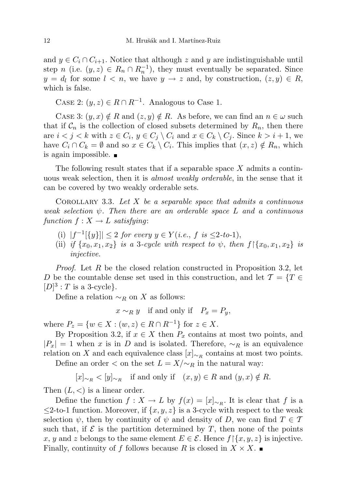and  $y \in C_i \cap C_{i+1}$ . Notice that although z and y are indistinguishable until step n (i.e.  $(y, z) \in R_n \cap R_n^{-1}$ ), they must eventually be separated. Since  $y = d_l$  for some  $l \leq n$ , we have  $y \to z$  and, by construction,  $(z, y) \in R$ , which is false.

CASE 2:  $(y, z) \in R \cap R^{-1}$ . Analogous to Case 1.

CASE 3:  $(y, x) \notin R$  and  $(z, y) \notin R$ . As before, we can find an  $n \in \omega$  such that if  $\mathcal{C}_n$  is the collection of closed subsets determined by  $R_n$ , then there are  $i < j < k$  with  $z \in C_i$ ,  $y \in C_j \setminus C_i$  and  $x \in C_k \setminus C_j$ . Since  $k > i + 1$ , we have  $C_i \cap C_k = \emptyset$  and so  $x \in C_k \setminus C_i$ . This implies that  $(x, z) \notin R_n$ , which is again impossible.

The following result states that if a separable space  $X$  admits a continuous weak selection, then it is almost weakly orderable, in the sense that it can be covered by two weakly orderable sets.

COROLLARY 3.3. Let  $X$  be a separable space that admits a continuous weak selection  $\psi$ . Then there are an orderable space L and a continuous function  $f: X \to L$  satisfying:

- (i)  $|f^{-1}[\{y\}]| \leq 2$  for every  $y \in Y(i.e., f \text{ is } \leq 2-to-1),$
- (ii) if  $\{x_0, x_1, x_2\}$  is a 3-cycle with respect to  $\psi$ , then  $f\{x_0, x_1, x_2\}$  is injective.

Proof. Let R be the closed relation constructed in Proposition 3.2, let D be the countable dense set used in this construction, and let  $\mathcal{T} = \{T \in$  $[D]^3$ : T is a 3-cycle}.

Define a relation  $\sim_R$  on X as follows:

 $x \sim_R y$  if and only if  $P_x = P_y$ ,

where  $P_z = \{w \in X : (w, z) \in R \cap R^{-1}\}\)$  for  $z \in X$ .

By Proposition 3.2, if  $x \in X$  then  $P_x$  contains at most two points, and  $|P_x| = 1$  when x is in D and is isolated. Therefore,  $\sim_R$  is an equivalence relation on X and each equivalence class  $[x]_{\sim_R}$  contains at most two points.

Define an order  $\lt$  on the set  $L = X/\sim_R$  in the natural way:

$$
[x]_{\sim_R}
$$
  $\lt [y]_{\sim_R}$  if and only if  $(x, y) \in R$  and  $(y, x) \notin R$ .

Then  $(L, <)$  is a linear order.

Define the function  $f: X \to L$  by  $f(x) = [x]_{\sim_R}$ . It is clear that f is a  $\leq$ 2-to-1 function. Moreover, if  $\{x, y, z\}$  is a 3-cycle with respect to the weak selection  $\psi$ , then by continuity of  $\psi$  and density of D, we can find  $T \in \mathcal{T}$ such that, if  $\mathcal E$  is the partition determined by T, then none of the points x, y and z belongs to the same element  $E \in \mathcal{E}$ . Hence  $f[\{x, y, z\}]$  is injective. Finally, continuity of f follows because R is closed in  $X \times X$ .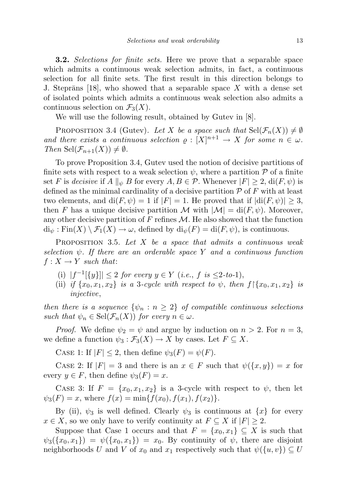**3.2.** Selections for finite sets. Here we prove that a separable space which admits a continuous weak selection admits, in fact, a continuous selection for all finite sets. The first result in this direction belongs to J. Steprāns [18], who showed that a separable space  $X$  with a dense set of isolated points which admits a continuous weak selection also admits a continuous selection on  $\mathcal{F}_3(X)$ .

We will use the following result, obtained by Gutev in [8].

PROPOSITION 3.4 (Gutev). Let X be a space such that  $\text{Sel}(\mathcal{F}_n(X)) \neq \emptyset$ and there exists a continuous selection  $\rho : [X]^{n+1} \to X$  for some  $n \in \omega$ . Then  $\text{Sel}(\mathcal{F}_{n+1}(X)) \neq \emptyset$ .

To prove Proposition 3.4, Gutev used the notion of decisive partitions of finite sets with respect to a weak selection  $\psi$ , where a partition  $\mathcal P$  of a finite set F is decisive if  $A \parallel_{\psi} B$  for every  $A, B \in \mathcal{P}$ . Whenever  $|F| \geq 2$ , di $(F, \psi)$  is defined as the minimal cardinality of a decisive partition  $\mathcal P$  of F with at least two elements, and  $di(F, \psi) = 1$  if  $|F| = 1$ . He proved that if  $|di(F, \psi)| \geq 3$ , then F has a unique decisive partition M with  $|M| = \text{di}(F, \psi)$ . Moreover, any other decisive partition of F refines  $\mathcal{M}$ . He also showed that the function  $\mathrm{di}_{\psi} : \mathrm{Fin}(X) \setminus \mathcal{F}_1(X) \to \omega$ , defined by  $\mathrm{di}_{\psi}(F) = \mathrm{di}(F, \psi)$ , is continuous.

PROPOSITION 3.5. Let  $X$  be a space that admits a continuous weak selection  $\psi$ . If there are an orderable space Y and a continuous function  $f: X \to Y$  such that:

- (i)  $|f^{-1}[\{y\}]| \leq 2$  for every  $y \in Y$  (i.e., f is  $\leq 2$ -to-1),
- (ii) if  $\{x_0, x_1, x_2\}$  is a 3-cycle with respect to  $\psi$ , then  $f\{x_0, x_1, x_2\}$  is injective,

then there is a sequence  $\{\psi_n : n \geq 2\}$  of compatible continuous selections such that  $\psi_n \in \text{Sel}(\mathcal{F}_n(X))$  for every  $n \in \omega$ .

*Proof.* We define  $\psi_2 = \psi$  and argue by induction on  $n > 2$ . For  $n = 3$ , we define a function  $\psi_3 : \mathcal{F}_3(X) \to X$  by cases. Let  $F \subseteq X$ .

CASE 1: If  $|F| \leq 2$ , then define  $\psi_3(F) = \psi(F)$ .

CASE 2: If  $|F| = 3$  and there is an  $x \in F$  such that  $\psi({x, y}) = x$  for every  $y \in F$ , then define  $\psi_3(F) = x$ .

CASE 3: If  $F = \{x_0, x_1, x_2\}$  is a 3-cycle with respect to  $\psi$ , then let  $\psi_3(F) = x$ , where  $f(x) = \min\{f(x_0), f(x_1), f(x_2)\}.$ 

By (ii),  $\psi_3$  is well defined. Clearly  $\psi_3$  is continuous at  $\{x\}$  for every  $x \in X$ , so we only have to verify continuity at  $F \subseteq X$  if  $|F| \geq 2$ .

Suppose that Case 1 occurs and that  $F = \{x_0, x_1\} \subseteq X$  is such that  $\psi_3({x_0, x_1}) = \psi({x_0, x_1}) = x_0$ . By continuity of  $\psi$ , there are disjoint neighborhoods U and V of  $x_0$  and  $x_1$  respectively such that  $\psi({u, v}) \subseteq U$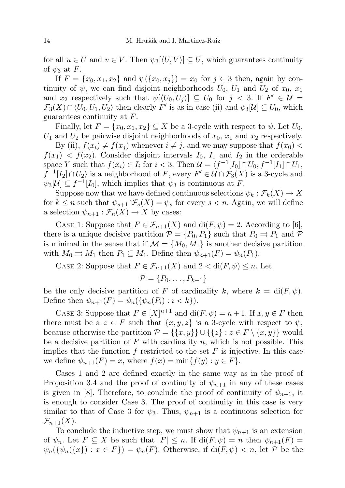for all  $u \in U$  and  $v \in V$ . Then  $\psi_3[\langle U, V \rangle] \subseteq U$ , which guarantees continuity of  $\psi_3$  at F.

If  $F = \{x_0, x_1, x_2\}$  and  $\psi(\{x_0, x_i\}) = x_0$  for  $j \in \{3\}$  then, again by continuity of  $\psi$ , we can find disjoint neighborhoods  $U_0$ ,  $U_1$  and  $U_2$  of  $x_0$ ,  $x_1$ and  $x_2$  respectively such that  $\psi[\langle U_0, U_j \rangle] \subseteq U_0$  for  $j < 3$ . If  $F' \in \mathcal{U} =$  $\mathcal{F}_3(X) \cap \langle U_0, U_1, U_2 \rangle$  then clearly  $F'$  is as in case (ii) and  $\psi_3[\mathcal{U}] \subseteq U_0$ , which guarantees continuity at F.

Finally, let  $F = \{x_0, x_1, x_2\} \subseteq X$  be a 3-cycle with respect to  $\psi$ . Let  $U_0$ ,  $U_1$  and  $U_2$  be pairwise disjoint neighborhoods of  $x_0$ ,  $x_1$  and  $x_2$  respectively.

By (ii),  $f(x_i) \neq f(x_j)$  whenever  $i \neq j$ , and we may suppose that  $f(x_0)$  $f(x_1) < f(x_2)$ . Consider disjoint intervals  $I_0$ ,  $I_1$  and  $I_2$  in the orderable space Y such that  $f(x_i) \in I_i$  for  $i < 3$ . Then  $\mathcal{U} = \langle f^{-1}[I_0] \cap U_0, f^{-1}[I_1] \cap U_1$ ,  $f^{-1}[I_2] \cap U_2$  is a neighborhood of F, every  $F' \in \mathcal{U} \cap \mathcal{F}_3(X)$  is a 3-cycle and  $\psi_3[\mathcal{U}] \subseteq f^{-1}[I_0]$ , which implies that  $\psi_3$  is continuous at F.

Suppose now that we have defined continuous selections  $\psi_k : \mathcal{F}_k(X) \to X$ for  $k \leq n$  such that  $\psi_{s+1} \upharpoonright \mathcal{F}_s(X) = \psi_s$  for every  $s < n$ . Again, we will define a selection  $\psi_{n+1} : \mathcal{F}_n(X) \to X$  by cases:

CASE 1: Suppose that  $F \in \mathcal{F}_{n+1}(X)$  and  $di(F, \psi) = 2$ . According to [6], there is a unique decisive partition  $\mathcal{P} = \{P_0, P_1\}$  such that  $P_0 \rightrightarrows P_1$  and  $\mathcal{P}$ is minimal in the sense that if  $\mathcal{M} = \{M_0, M_1\}$  is another decisive partition with  $M_0 \rightrightarrows M_1$  then  $P_1 \rightharpoonup M_1$ . Define then  $\psi_{n+1}(F) = \psi_n(P_1)$ .

CASE 2: Suppose that  $F \in \mathcal{F}_{n+1}(X)$  and  $2 < \text{di}(F, \psi) \leq n$ . Let

$$
\mathcal{P} = \{P_0, \ldots, P_{k-1}\}
$$

be the only decisive partition of F of cardinality k, where  $k = \text{di}(F, \psi)$ . Define then  $\psi_{n+1}(F) = \psi_n(\{\psi_n(P_i) : i < k\}).$ 

CASE 3: Suppose that  $F \in [X]^{n+1}$  and  $di(F, \psi) = n+1$ . If  $x, y \in F$  then there must be a  $z \in F$  such that  $\{x, y, z\}$  is a 3-cycle with respect to  $\psi$ , because otherwise the partition  $\mathcal{P} = \{\{x, y\}\}\cup \{\{z\} : z \in F \setminus \{x, y\}\}\$  would be a decisive partition of  $F$  with cardinality  $n$ , which is not possible. This implies that the function f restricted to the set  $F$  is injective. In this case we define  $\psi_{n+1}(F) = x$ , where  $f(x) = \min\{f(y) : y \in F\}.$ 

Cases 1 and 2 are defined exactly in the same way as in the proof of Proposition 3.4 and the proof of continuity of  $\psi_{n+1}$  in any of these cases is given in [8]. Therefore, to conclude the proof of continuity of  $\psi_{n+1}$ , it is enough to consider Case 3. The proof of continuity in this case is very similar to that of Case 3 for  $\psi_3$ . Thus,  $\psi_{n+1}$  is a continuous selection for  $\mathcal{F}_{n+1}(X)$ .

To conclude the inductive step, we must show that  $\psi_{n+1}$  is an extension of  $\psi_n$ . Let  $F \subseteq X$  be such that  $|F| \leq n$ . If  $\text{di}(F, \psi) = n$  then  $\psi_{n+1}(F) =$  $\psi_n(\{\psi_n({x}): x \in F\}) = \psi_n(F)$ . Otherwise, if  $di(F, \psi) < n$ , let P be the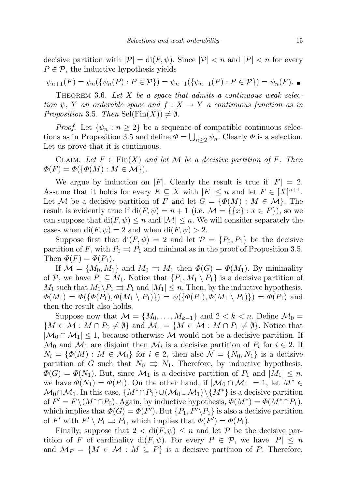decisive partition with  $|\mathcal{P}| = \text{di}(F, \psi)$ . Since  $|\mathcal{P}| < n$  and  $|P| < n$  for every  $P \in \mathcal{P}$ , the inductive hypothesis yields

$$
\psi_{n+1}(F) = \psi_n(\{\psi_n(P) : P \in \mathcal{P}\}) = \psi_{n-1}(\{\psi_{n-1}(P) : P \in \mathcal{P}\}) = \psi_n(F). \blacksquare
$$

THEOREM 3.6. Let  $X$  be a space that admits a continuous weak selection  $\psi$ , Y an orderable space and  $f: X \to Y$  a continuous function as in Proposition 3.5. Then  $\text{Sel}(\text{Fin}(X)) \neq \emptyset$ .

*Proof.* Let  $\{\psi_n : n \geq 2\}$  be a sequence of compatible continuous selections as in Proposition 3.5 and define  $\Phi = \bigcup_{n \geq 2} \psi_n$ . Clearly  $\Phi$  is a selection. Let us prove that it is continuous.

CLAIM. Let  $F \in \text{Fin}(X)$  and let M be a decisive partition of F. Then  $\Phi(F) = \Phi(\{\Phi(M): M \in \mathcal{M}\}).$ 

We argue by induction on |F|. Clearly the result is true if  $|F| = 2$ . Assume that it holds for every  $E \subseteq X$  with  $|E| \leq n$  and let  $F \in [X]^{n+1}$ . Let M be a decisive partition of F and let  $G = \{ \Phi(M) : M \in \mathcal{M} \}$ . The result is evidently true if  $di(F, \psi) = n + 1$  (i.e.  $\mathcal{M} = \{\{x\} : x \in F\}$ ), so we can suppose that  $di(F, \psi) \leq n$  and  $|\mathcal{M}| \leq n$ . We will consider separately the cases when  $di(F, \psi) = 2$  and when  $di(F, \psi) > 2$ .

Suppose first that  $di(F, \psi) = 2$  and let  $\mathcal{P} = \{P_0, P_1\}$  be the decisive partition of F, with  $P_0 \rightrightarrows P_1$  and minimal as in the proof of Proposition 3.5. Then  $\Phi(F) = \Phi(P_1)$ .

If  $\mathcal{M} = \{M_0, M_1\}$  and  $M_0 \rightrightarrows M_1$  then  $\Phi(G) = \Phi(M_1)$ . By minimality of P, we have  $P_1 \subseteq M_1$ . Notice that  $\{P_1, M_1 \setminus P_1\}$  is a decisive partition of  $M_1$  such that  $M_1 \backslash P_1 \rightrightarrows P_1$  and  $|M_1| \leq n$ . Then, by the inductive hypothesis,  $\Phi(M_1) = \Phi(\{\Phi(P_1), \Phi(M_1 \setminus P_1)\}) = \psi(\{\Phi(P_1), \Phi(M_1 \setminus P_1)\}) = \Phi(P_1)$  and then the result also holds.

Suppose now that  $\mathcal{M} = \{M_0, \ldots, M_{k-1}\}\$  and  $2 < k < n$ . Define  $\mathcal{M}_0 =$  ${M \in \mathcal{M} : M \cap P_0 \neq \emptyset}$  and  $\mathcal{M}_1 = {M \in \mathcal{M} : M \cap P_1 \neq \emptyset}$ . Notice that  $|\mathcal{M}_0 \cap \mathcal{M}_1| \leq 1$ , because otherwise M would not be a decisive partition. If  $\mathcal{M}_0$  and  $\mathcal{M}_1$  are disjoint then  $\mathcal{M}_i$  is a decisive partition of  $P_i$  for  $i \in 2$ . If  $N_i = {\Phi(M) : M \in \mathcal{M}_i}$  for  $i \in 2$ , then also  $\mathcal{N} = \{N_0, N_1\}$  is a decisive partition of G such that  $N_0 \Rightarrow N_1$ . Therefore, by inductive hypothesis,  $\Phi(G) = \Phi(N_1)$ . But, since  $\mathcal{M}_1$  is a decisive partition of  $P_1$  and  $|M_1| \leq n$ , we have  $\Phi(N_1) = \Phi(P_1)$ . On the other hand, if  $|\mathcal{M}_0 \cap \mathcal{M}_1| = 1$ , let  $M^* \in$  $\mathcal{M}_0 \cap \mathcal{M}_1$ . In this case,  $\{M^* \cap P_1\} \cup (\mathcal{M}_0 \cup \mathcal{M}_1) \setminus \{M^*\}$  is a decisive partition of  $F' = F \setminus (M^* \cap P_0)$ . Again, by inductive hypothesis,  $\Phi(M^*) = \Phi(M^* \cap P_1)$ , which implies that  $\Phi(G) = \Phi(F')$ . But  $\{P_1, F'\_P_1\}$  is also a decisive partition of F' with  $F' \setminus P_1 \rightrightarrows P_1$ , which implies that  $\Phi(F') = \Phi(P_1)$ .

Finally, suppose that  $2 < \text{di}(F, \psi) \leq n$  and let P be the decisive partition of F of cardinality di(F,  $\psi$ ). For every  $P \in \mathcal{P}$ , we have  $|P| \leq n$ and  $M_P = \{M \in \mathcal{M} : M \subseteq P\}$  is a decisive partition of P. Therefore,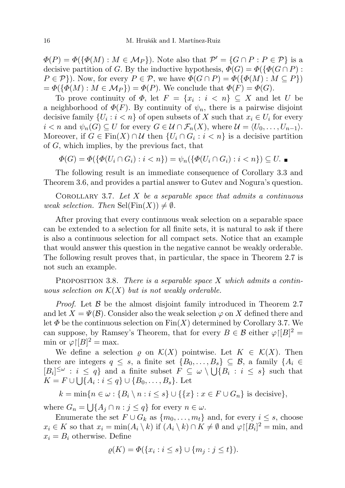$\Phi(P) = \Phi(\{\Phi(M) : M \in \mathcal{M}_P\})$ . Note also that  $\mathcal{P}' = \{G \cap P : P \in \mathcal{P}\}$  is a decisive partition of G. By the inductive hypothesis,  $\Phi(G) = \Phi(\{\Phi(G \cap P) :$  $P \in \mathcal{P}$ ). Now, for every  $P \in \mathcal{P}$ , we have  $\Phi(G \cap P) = \Phi(\{\Phi(M) : M \subseteq P\})$  $=\Phi({\{\Phi(M): M \in \mathcal{M}_P\}) = \Phi(P)}$ . We conclude that  $\Phi(F) = \Phi(G)$ .

To prove continuity of  $\Phi$ , let  $F = \{x_i : i < n\} \subseteq X$  and let U be a neighborhood of  $\Phi(F)$ . By continuity of  $\psi_n$ , there is a pairwise disjoint decisive family  $\{U_i : i < n\}$  of open subsets of X such that  $x_i \in U_i$  for every  $i < n$  and  $\psi_n(G) \subseteq U$  for every  $G \in \mathcal{U} \cap \mathcal{F}_n(X)$ , where  $\mathcal{U} = \langle U_0, \ldots, U_{n-1} \rangle$ . Moreover, if  $G \in \text{Fin}(X) \cap \mathcal{U}$  then  $\{U_i \cap G_i : i < n\}$  is a decisive partition of G, which implies, by the previous fact, that

 $\Phi(G) = \Phi(\{\Phi(U_i \cap G_i) : i < n\}) = \psi_n(\{\Phi(U_i \cap G_i) : i < n\}) \subseteq U$ .

The following result is an immediate consequence of Corollary 3.3 and Theorem 3.6, and provides a partial answer to Gutev and Nogura's question.

COROLLARY 3.7. Let  $X$  be a separable space that admits a continuous weak selection. Then  $\text{Sel}(\text{Fin}(X)) \neq \emptyset$ .

After proving that every continuous weak selection on a separable space can be extended to a selection for all finite sets, it is natural to ask if there is also a continuous selection for all compact sets. Notice that an example that would answer this question in the negative cannot be weakly orderable. The following result proves that, in particular, the space in Theorem 2.7 is not such an example.

**PROPOSITION** 3.8. There is a separable space X which admits a continuous selection on  $\mathcal{K}(X)$  but is not weakly orderable.

*Proof.* Let  $\beta$  be the almost disjoint family introduced in Theorem 2.7 and let  $X = \Psi(\mathcal{B})$ . Consider also the weak selection  $\varphi$  on X defined there and let  $\Phi$  be the continuous selection on  $\text{Fin}(X)$  determined by Corollary 3.7. We can suppose, by Ramsey's Theorem, that for every  $B \in \mathcal{B}$  either  $\varphi | [B]^2 =$ min or  $\varphi | [B]^2 = \max$ .

We define a selection  $\rho$  on  $\mathcal{K}(X)$  pointwise. Let  $K \in \mathcal{K}(X)$ . Then there are integers  $q \leq s$ , a finite set  $\{B_0, \ldots, B_s\} \subseteq \mathcal{B}$ , a family  $\{A_i \in$  $[B_i]^{\leq \omega} : i \leq q$  and a finite subset  $F \subseteq \omega \setminus \bigcup \{B_i : i \leq s\}$  such that  $K = F \cup \bigcup \{A_i : i \leq q\} \cup \{B_0, \ldots, B_s\}.$  Let

 $k = \min\{n \in \omega : \{B_i \setminus n : i \leq s\} \cup \{\{x\} : x \in F \cup G_n\} \text{ is decisive}\},\$ 

where  $G_n = \bigcup \{A_j \cap n : j \leq q\}$  for every  $n \in \omega$ .

Enumerate the set  $F \cup G_k$  as  $\{m_0, \ldots, m_t\}$  and, for every  $i \leq s$ , choose  $x_i \in K$  so that  $x_i = \min(A_i \setminus k)$  if  $(A_i \setminus k) \cap K \neq \emptyset$  and  $\varphi | [B_i]^2 = \min$ , and  $x_i = B_i$  otherwise. Define

$$
\varrho(K) = \Phi(\{x_i : i \le s\} \cup \{m_j : j \le t\}).
$$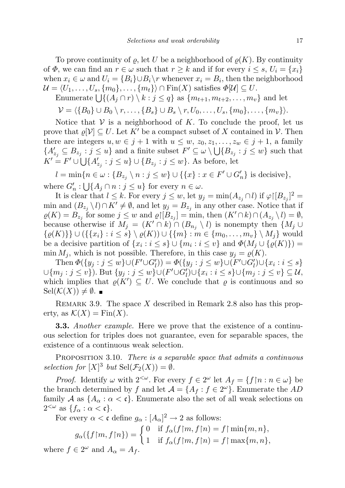To prove continuity of  $\varrho$ , let U be a neighborhood of  $\varrho(K)$ . By continuity of  $\Phi$ , we can find an  $r \in \omega$  such that  $r \geq k$  and if for every  $i \leq s$ ,  $U_i = \{x_i\}$ when  $x_i \in \omega$  and  $U_i = \{B_i\} \cup B_i \setminus r$  whenever  $x_i = B_i$ , then the neighborhood  $\mathcal{U} = \langle U_1, \ldots, U_s, \{m_0\}, \ldots, \{m_t\}\rangle \cap \text{Fin}(X)$  satisfies  $\Phi[\mathcal{U}] \subseteq U$ .

Enumerate  $\bigcup \{ (A_j \cap r) \setminus k : j \le q \}$  as  $\{m_{t+1}, m_{t+2}, \ldots, m_v \}$  and let

 $\mathcal{V} = \langle \{B_0\} \cup B_0 \setminus r, \ldots, \{B_s\} \cup B_s \setminus r, U_0, \ldots, U_s, \{m_0\}, \ldots, \{m_v\}\rangle.$ 

Notice that  $V$  is a neighborhood of K. To conclude the proof, let us prove that  $\varrho[\mathcal{V}] \subseteq U$ . Let K' be a compact subset of X contained in V. Then there are integers  $u, w \in j+1$  with  $u \leq w$ ,  $z_0, z_1, \ldots, z_w \in j+1$ , a family  ${A'_{z_j} \subseteq B_{z_j} : j \leq u}$  and a finite subset  $F' \subseteq \omega \setminus \bigcup {B_{z_j} : j \leq w}$  such that  $K' = F' \cup \bigcup \{A'_{z_j} : j \leq u\} \cup \{B_{z_j} : j \leq w\}.$  As before, let

 $l = \min\{n \in \omega : \{B_{z_j} \setminus n : j \leq w\} \cup \{\{x\} : x \in F' \cup G'_n\} \text{ is decisive}\},\$ where  $G'_n : \bigcup \{ A_j \cap n : j \leq u \}$  for every  $n \in \omega$ .

It is clear that  $l \leq k$ . For every  $j \leq w$ , let  $y_j = \min(A_{z_j} \cap l)$  if  $\varphi | [B_{z_j}]^2 =$ min and  $(B_{z_j} \setminus l) \cap K' \neq \emptyset$ , and let  $y_j = B_{z_j}$  in any other case. Notice that if  $\rho(K) = B_{z_j}$  for some  $j \leq w$  and  $\rho \upharpoonright [B_{z_j}] = \min$ , then  $(K' \cap k) \cap (A_{z_j} \setminus l) = \emptyset$ , because otherwise if  $M_j = (K' \cap k) \cap (B_{n_j} \setminus l)$  is nonempty then  $\{M_j \cup$  $\{ \varrho(K) \} \cup (\{ \{x_i\} : i \leq s \} \setminus \varrho(K)) \cup \{ \{m\} : m \in \{m_0, \ldots, m_v\} \setminus M_i \}$  would be a decisive partition of  $\{x_i : i \leq s\} \cup \{m_i : i \leq v\}$  and  $\Phi(M_j \cup \{\varrho(K)\})$ min  $M_i$ , which is not possible. Therefore, in this case  $y_i = \varrho(K)$ .

Then  $\Phi({y_j : j \le w} \cup (F' \cup G'_l)) = \Phi({y_j : j \le w} \cup (F' \cup G'_l) \cup {x_i : i \le s}$  $\cup \{m_j : j \leq v\}$ ). But  $\{y_j : j \leq w\} \cup (F' \cup G'_l) \cup \{x_i : i \leq s\} \cup \{m_j : j \leq v\} \subseteq U$ , which implies that  $\varrho(K') \subseteq U$ . We conclude that  $\varrho$  is continuous and so  $\text{Sel}(\mathcal{K}(X)) \neq \emptyset$ .

REMARK 3.9. The space X described in Remark 2.8 also has this property, as  $\mathcal{K}(X) = \text{Fin}(X)$ .

**3.3.** Another example. Here we prove that the existence of a continuous selection for triples does not guarantee, even for separable spaces, the existence of a continuous weak selection.

PROPOSITION 3.10. There is a separable space that admits a continuous selection for  $[X]^3$  but  $\text{Sel}(\mathcal{F}_2(X)) = \emptyset$ .

*Proof.* Identify  $\omega$  with  $2^{<\omega}$ . For every  $f \in 2^{\omega}$  let  $A_f = \{f \mid n : n \in \omega\}$  be the branch determined by f and let  $\mathcal{A} = \{A_f : f \in 2^{\omega}\}\.$  Enumerate the AD family A as  $\{A_{\alpha} : \alpha < \mathfrak{c}\}\$ . Enumerate also the set of all weak selections on  $2^{<\omega}$  as  $\{f_\alpha : \alpha < \mathfrak{c}\}.$ 

For every  $\alpha < \mathfrak{c}$  define  $g_{\alpha} : [A_{\alpha}]^2 \to 2$  as follows:

$$
g_{\alpha}(\{f{\upharpoonright} m, f{\upharpoonright} n)\} = \begin{cases} 0 & \text{if } f_{\alpha}(f{\upharpoonright} m, f{\upharpoonright} n) = f{\upharpoonright} \min\{m, n\}, \\ 1 & \text{if } f_{\alpha}(f{\upharpoonright} m, f{\upharpoonright} n) = f{\upharpoonright} \max\{m, n\}, \end{cases}
$$
 where  $f \in 2^{\omega}$  and  $A_{\alpha} = A_{f}$ .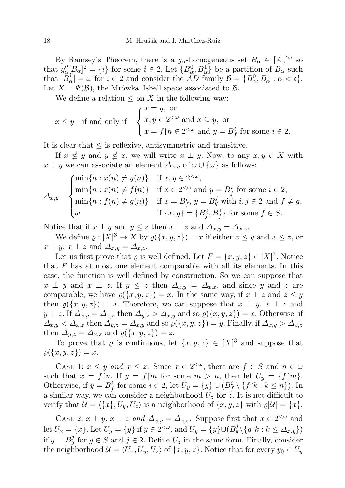By Ramsey's Theorem, there is a  $g_{\alpha}$ -homogeneous set  $B_{\alpha} \in [A_{\alpha}]^{\omega}$  so that  $g''_{\alpha}[B_{\alpha}]^2 = \{i\}$  for some  $i \in \{2$ . Let  $\{B_{\alpha}^0, B_{\alpha}^1\}$  be a partition of  $B_{\alpha}$  such that  $|B^i_\alpha| = \omega$  for  $i \in 2$  and consider the AD family  $\mathcal{B} = \{B^0_\alpha, B^1_\alpha : \alpha < \mathfrak{c}\}.$ Let  $X = \Psi(\mathcal{B})$ , the Mrówka–Isbell space associated to  $\mathcal{B}$ .

We define a relation  $\leq$  on X in the following way:

$$
x \le y
$$
 if and only if 
$$
\begin{cases} x = y, \text{ or} \\ x, y \in 2^{<\omega} \text{ and } x \subseteq y, \text{ or} \\ x = f \upharpoonright n \in 2^{<\omega} \text{ and } y = B_f^i \text{ for some } i \in 2. \end{cases}
$$

It is clear that  $\leq$  is reflexive, antisymmetric and transitive.

If  $x \nleq y$  and  $y \nleq x$ , we will write  $x \perp y$ . Now, to any  $x, y \in X$  with  $x \perp y$  we can associate an element  $\Delta_{x,y}$  of  $\omega \cup \{\omega\}$  as follows:

$$
\Delta_{x,y} = \begin{cases}\n\min\{n : x(n) \neq y(n)\} & \text{if } x, y \in 2^{<\omega}, \\
\min\{n : x(n) \neq f(n)\} & \text{if } x \in 2^{<\omega} \text{ and } y = B_f^i \text{ for some } i \in 2, \\
\min\{n : f(n) \neq g(n)\} & \text{if } x = B_f^i, y = B_g^j \text{ with } i, j \in 2 \text{ and } f \neq g, \\
\omega & \text{if } \{x, y\} = \{B_f^0, B_f^1\} \text{ for some } f \in S.\n\end{cases}
$$

Notice that if  $x \perp y$  and  $y \leq z$  then  $x \perp z$  and  $\Delta_{x,y} = \Delta_{x,z}$ .

We define  $\varrho: [X]^3 \to X$  by  $\varrho(\lbrace x, y, z \rbrace) = x$  if either  $x \leq y$  and  $x \leq z$ , or  $x \perp y$ ,  $x \perp z$  and  $\Delta_{x,y} = \Delta_{x,z}$ .

Let us first prove that  $\varrho$  is well defined. Let  $F = \{x, y, z\} \in [X]^3$ . Notice that  $F$  has at most one element comparable with all its elements. In this case, the function is well defined by construction. So we can suppose that  $x \perp y$  and  $x \perp z$ . If  $y \leq z$  then  $\Delta_{x,y} = \Delta_{x,z}$ , and since y and z are comparable, we have  $\rho(\lbrace x, y, z \rbrace) = x$ . In the same way, if  $x \perp z$  and  $z \leq y$ then  $\varrho(\lbrace x,y,z \rbrace) = x$ . Therefore, we can suppose that  $x \perp y$ ,  $x \perp z$  and  $y \perp z$ . If  $\Delta_{x,y} = \Delta_{x,z}$  then  $\Delta_{y,z} > \Delta_{x,y}$  and so  $\varrho(\lbrace x,y,z \rbrace) = x$ . Otherwise, if  $\Delta_{x,y} < \Delta_{x,z}$  then  $\Delta_{y,z} = \Delta_{x,y}$  and so  $\varrho(\lbrace x,y,z \rbrace) = y$ . Finally, if  $\Delta_{x,y} > \Delta_{x,z}$ then  $\Delta_{y,z} = \Delta_{x,z}$  and  $\varrho(\lbrace x,y,z \rbrace) = z$ .

To prove that  $\varrho$  is continuous, let  $\{x, y, z\} \in [X]^3$  and suppose that  $\rho({x, y, z}) = x.$ 

CASE 1:  $x \leq y$  and  $x \leq z$ . Since  $x \in 2^{<\omega}$ , there are  $f \in S$  and  $n \in \omega$ such that  $x = f \mid n$ . If  $y = f \mid m$  for some  $m > n$ , then let  $U_y = \{f \mid m\}$ . Otherwise, if  $y = B_f^i$  for some  $i \in \{2\}$ , let  $U_y = \{y\} \cup (B_f^i \setminus \{f \mid k : k \leq n\})$ . In a similar way, we can consider a neighborhood  $U_z$  for z. It is not difficult to verify that  $\mathcal{U} = \langle \{x\}, U_y, U_z \rangle$  is a neighborhood of  $\{x, y, z\}$  with  $\varrho[\mathcal{U}] = \{x\}.$ 

CASE 2:  $x \perp y$ ,  $x \perp z$  and  $\Delta_{x,y} = \Delta_{x,z}$ . Suppose first that  $x \in 2^{<\omega}$  and let  $U_x = \{x\}$ . Let  $U_y = \{y\}$  if  $y \in 2^{<\omega}$ , and  $U_y = \{y\} \cup (B_g^j \setminus \{g \upharpoonright k : k \leq \Delta_{x,y}\})$ if  $y = B_g^j$  for  $g \in S$  and  $j \in 2$ . Define  $U_z$  in the same form. Finally, consider the neighborhood  $\mathcal{U} = \langle U_x, U_y, U_z \rangle$  of  $\{x, y, z\}$ . Notice that for every  $y_0 \in U_y$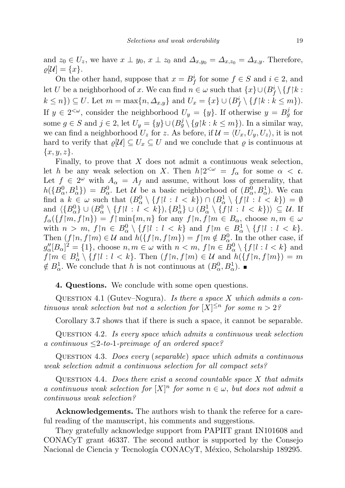and  $z_0 \in U_z$ , we have  $x \perp y_0$ ,  $x \perp z_0$  and  $\Delta_{x,y_0} = \Delta_{x,z_0} = \Delta_{x,y}$ . Therefore,  $\varrho[\mathcal{U}] = \{x\}.$ 

On the other hand, suppose that  $x = B_f^i$  for some  $f \in S$  and  $i \in 2$ , and let U be a neighborhood of x. We can find  $n \in \omega$  such that  $\{x\} \cup (B_f^i \setminus \{f \mid k\})$  $k \leq n$   $\}$ )  $\subseteq U$ . Let  $m = \max\{n, \Delta_{x,y}\}\$ and  $U_x = \{x\} \cup (B_f^i \setminus \{f \mid k : k \leq m\}).$ If  $y \in 2^{<\omega}$ , consider the neighborhood  $U_y = \{y\}$ . If otherwise  $y = B_g^j$  for some  $g \in S$  and  $j \in 2$ , let  $U_y = \{y\} \cup (B_g^j \setminus \{g \upharpoonright k : k \le m\})$ . In a similar way, we can find a neighborhood  $U_z$  for z. As before, if  $\mathcal{U} = \langle U_x, U_y, U_z \rangle$ , it is not hard to verify that  $\varrho[\mathcal{U}] \subseteq U_x \subseteq U$  and we conclude that  $\varrho$  is continuous at  $\{x, y, z\}.$ 

Finally, to prove that  $X$  does not admit a continuous weak selection, let h be any weak selection on X. Then  $h|2<sup>{\omega}</sup> = f<sub>\alpha</sub>$  for some  $\alpha < \mathfrak{c}$ . Let  $f \in 2^{\omega}$  with  $A_{\alpha} = A_f$  and assume, without loss of generality, that  $h({B_{\alpha}^0, B_{\alpha}^1}) = B_{\alpha}^0$ . Let  $\mathcal{U}$  be a basic neighborhood of  $(B_{\alpha}^0, B_{\alpha}^1)$ . We can find a  $k \in \omega$  such that  $(B_\alpha^0 \setminus \{f | l : l < k\}) \cap (B_\alpha^1 \setminus \{f | l : l < k\}) = \emptyset$ and  $\langle \{B_{\alpha}^{0}\}\cup (B_{\alpha}^{0}\setminus\{f|i: i < k\}), \{B_{\alpha}^{1}\}\cup (B_{\alpha}^{1}\setminus\{f|i: i < k\})\rangle \subseteq \mathcal{U}$ . If  $f_{\alpha}(\{f \mid m, f \mid n\}) = f \mid \min\{m, n\}$  for any  $f \mid n, f \mid m \in B_{\alpha}$ , choose  $n, m \in \omega$ with  $n > m$ ,  $f \mid n \in B^0_\alpha \setminus \{f \mid l : l < k\}$  and  $f \mid m \in B^1_\alpha \setminus \{f \mid l : l < k\}.$ Then  $(f \mid n, f \mid m) \in \mathcal{U}$  and  $h(\lbrace f \mid n, f \mid m \rbrace) = f \mid m \notin B_{\alpha}^0$ . In the other case, if  $g''_{\alpha}[B_{\alpha}]^2 = \{1\}$ , choose  $n, m \in \omega$  with  $n < m$ ,  $f \nmid n \in \overline{B}_{\alpha}^0 \setminus \{f \mid l : l < k\}$  and  $f|m \in B^1_\alpha \setminus \{f|l : l < k\}$ . Then  $(f|n, f|m) \in \mathcal{U}$  and  $h(\{f|n, f|m\}) = m$  $\notin B^1_\alpha$ . We conclude that h is not continuous at  $(B^0_\alpha, B^1_\alpha)$ .

4. Questions. We conclude with some open questions.

QUESTION 4.1 (Gutev–Nogura). Is there a space X which admits a continuous weak selection but not a selection for  $[X]^{\leq n}$  for some  $n > 2$ ?

Corollary 3.7 shows that if there is such a space, it cannot be separable.

Question 4.2. Is every space which admits a continuous weak selection a continuous  $\leq$ 2-to-1-preimage of an ordered space?

Question 4.3. Does every (separable) space which admits a continuous weak selection admit a continuous selection for all compact sets?

QUESTION 4.4. Does there exist a second countable space  $X$  that admits a continuous weak selection for  $[X]^n$  for some  $n \in \omega$ , but does not admit a continuous weak selection?

Acknowledgements. The authors wish to thank the referee for a careful reading of the manuscript, his comments and suggestions.

They gratefully acknowledge support from PAPIIT grant IN101608 and CONACyT grant 46337. The second author is supported by the Consejo Nacional de Ciencia y Tecnología CONACyT, México, Scholarship 189295.